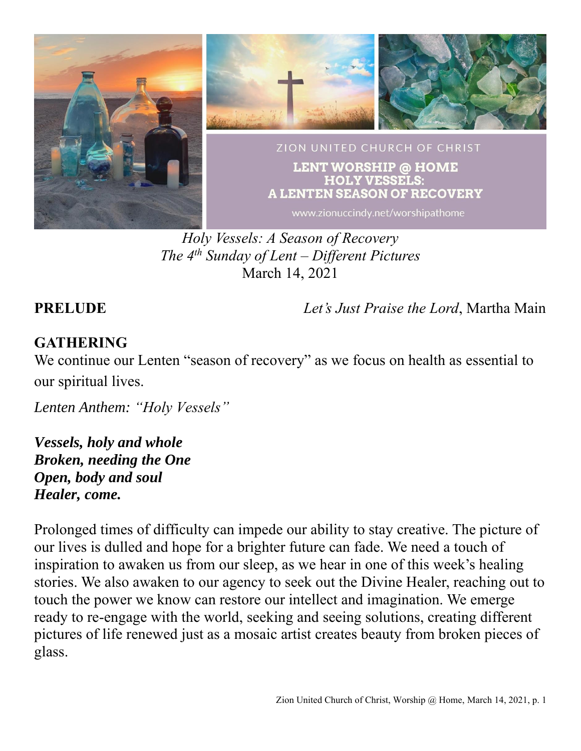

*Holy Vessels: A Season of Recovery The 4 th Sunday of Lent – Different Pictures* March 14, 2021

**PRELUDE** *Let's Just Praise the Lord*, Martha Main

# **GATHERING**

We continue our Lenten "season of recovery" as we focus on health as essential to our spiritual lives.

*Lenten Anthem: "Holy Vessels"*

*Vessels, holy and whole Broken, needing the One Open, body and soul Healer, come.*

Prolonged times of difficulty can impede our ability to stay creative. The picture of our lives is dulled and hope for a brighter future can fade. We need a touch of inspiration to awaken us from our sleep, as we hear in one of this week's healing stories. We also awaken to our agency to seek out the Divine Healer, reaching out to touch the power we know can restore our intellect and imagination. We emerge ready to re-engage with the world, seeking and seeing solutions, creating different pictures of life renewed just as a mosaic artist creates beauty from broken pieces of glass.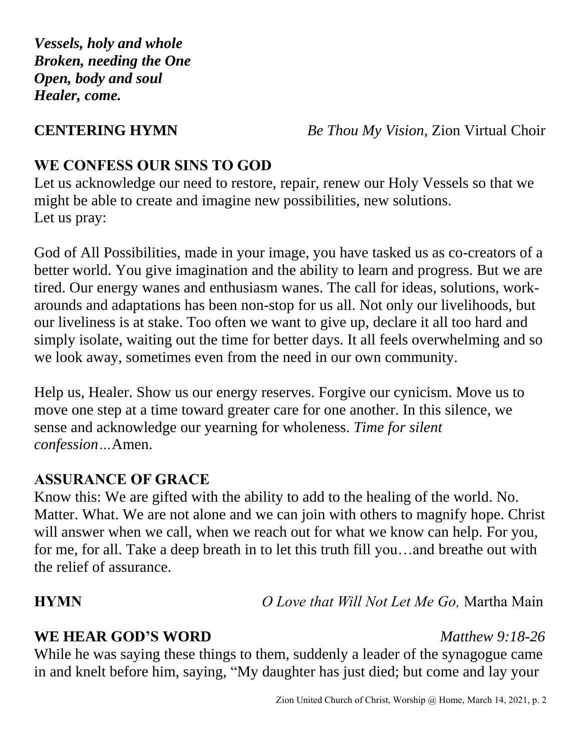*Vessels, holy and whole Broken, needing the One Open, body and soul Healer, come.*

**CENTERING HYMN** *Be Thou My Vision,* Zion Virtual Choir

# **WE CONFESS OUR SINS TO GOD**

Let us acknowledge our need to restore, repair, renew our Holy Vessels so that we might be able to create and imagine new possibilities, new solutions. Let us pray:

God of All Possibilities, made in your image, you have tasked us as co-creators of a better world. You give imagination and the ability to learn and progress. But we are tired. Our energy wanes and enthusiasm wanes. The call for ideas, solutions, workarounds and adaptations has been non-stop for us all. Not only our livelihoods, but our liveliness is at stake. Too often we want to give up, declare it all too hard and simply isolate, waiting out the time for better days. It all feels overwhelming and so we look away, sometimes even from the need in our own community.

Help us, Healer. Show us our energy reserves. Forgive our cynicism. Move us to move one step at a time toward greater care for one another. In this silence, we sense and acknowledge our yearning for wholeness. *Time for silent confession…*Amen.

### **ASSURANCE OF GRACE**

Know this: We are gifted with the ability to add to the healing of the world. No. Matter. What. We are not alone and we can join with others to magnify hope. Christ will answer when we call, when we reach out for what we know can help. For you, for me, for all. Take a deep breath in to let this truth fill you…and breathe out with the relief of assurance.

**HYMN** *O Love that Will Not Let Me Go,* Martha Main

### **WE HEAR GOD'S WORD** *Matthew 9:18-26*

While he was saying these things to them, suddenly a leader of the synagogue came in and knelt before him, saying, "My daughter has just died; but come and lay your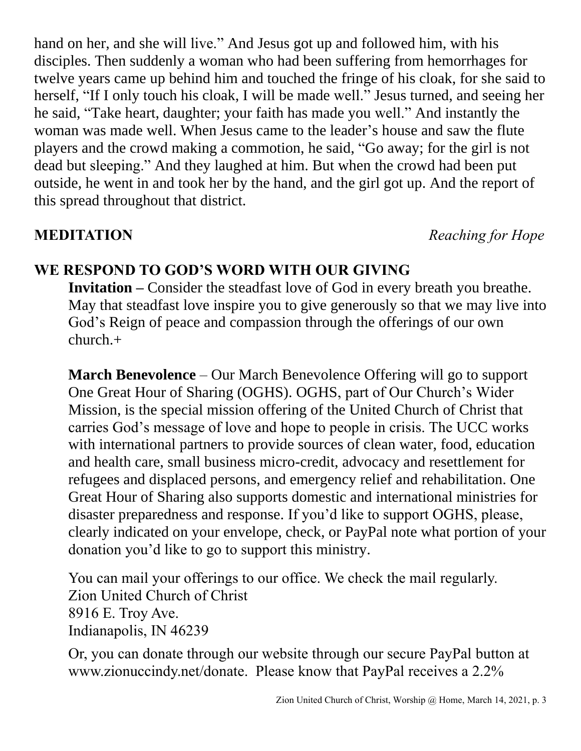hand on her, and she will live." And Jesus got up and followed him, with his disciples. Then suddenly a woman who had been suffering from hemorrhages for twelve years came up behind him and touched the fringe of his cloak, for she said to herself, "If I only touch his cloak, I will be made well." Jesus turned, and seeing her he said, "Take heart, daughter; your faith has made you well." And instantly the woman was made well. When Jesus came to the leader's house and saw the flute players and the crowd making a commotion, he said, "Go away; for the girl is not dead but sleeping." And they laughed at him. But when the crowd had been put outside, he went in and took her by the hand, and the girl got up. And the report of this spread throughout that district.

**MEDITATION** *Reaching for Hope*

# **WE RESPOND TO GOD'S WORD WITH OUR GIVING**

**Invitation –** Consider the steadfast love of God in every breath you breathe. May that steadfast love inspire you to give generously so that we may live into God's Reign of peace and compassion through the offerings of our own church.+

**March Benevolence** – Our March Benevolence Offering will go to support One Great Hour of Sharing (OGHS). OGHS, part of Our Church's Wider Mission, is the special mission offering of the United Church of Christ that carries God's message of love and hope to people in crisis. The UCC works with international partners to provide sources of clean water, food, education and health care, small business micro-credit, advocacy and resettlement for refugees and displaced persons, and emergency relief and rehabilitation. One Great Hour of Sharing also supports domestic and international ministries for disaster preparedness and response. If you'd like to support OGHS, please, clearly indicated on your envelope, check, or PayPal note what portion of your donation you'd like to go to support this ministry.

You can mail your offerings to our office. We check the mail regularly. Zion United Church of Christ 8916 E. Troy Ave. Indianapolis, IN 46239

Or, you can donate through our website through our secure PayPal button at www.zionuccindy.net/donate. Please know that PayPal receives a 2.2%